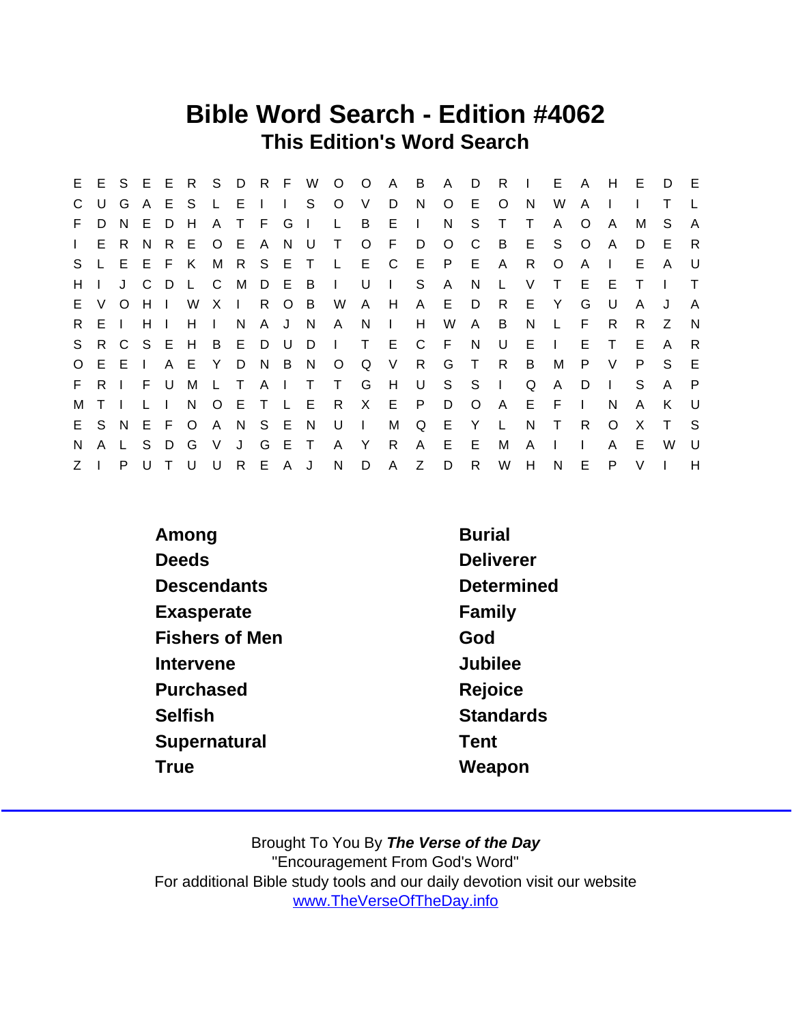## Bible Word Search - Edition #4062 This Edition's Word Search

|              |             |         |                               |     |             |          |         |  |  |                           |                         |   |                                     |              |                |              |              |              |          |              | E E S E E R S D R F W O O A B A D R I E A H E D E |              |
|--------------|-------------|---------|-------------------------------|-----|-------------|----------|---------|--|--|---------------------------|-------------------------|---|-------------------------------------|--------------|----------------|--------------|--------------|--------------|----------|--------------|---------------------------------------------------|--------------|
| $\mathsf{C}$ | U           |         |                               |     |             |          |         |  |  |                           |                         |   | GAESLEIIS OVDNOE O                  |              |                | N            | W            | A            |          |              |                                                   |              |
|              | F D         | N.      | EDH                           |     |             |          |         |  |  |                           | A T F G I L B E I       |   | N                                   | S.           | $\top$         | $\top$       | $\mathsf{A}$ | O            | A        | M            | S.                                                | A            |
|              |             | I E R N |                               |     |             |          |         |  |  |                           | R E O E A N U T O F D O |   |                                     | $\mathsf{C}$ | $\overline{B}$ |              | E S          | $\circ$      | A        | D            | E                                                 | R            |
| S.           |             | LEEFK   |                               |     |             |          |         |  |  |                           |                         |   | M R S E T L E C E P E A R           |              |                |              | $\circ$      | A            | $\Box$   | E            | $\mathsf{A}$                                      | U.           |
| H            |             |         | J C                           |     |             |          |         |  |  |                           |                         |   | D L C M D E B I U I S A N L         |              |                | $\vee$       |              | T E E        |          |              |                                                   |              |
|              |             |         |                               |     |             |          |         |  |  |                           |                         |   | E V O H I W X I R O B W A H A E D   |              | R.             |              | E Y          | G            | U        | $\mathsf{A}$ | J                                                 | $\mathsf{A}$ |
|              | R E I       |         | $H$ $\perp$                   |     | $H$ $\perp$ |          | N       |  |  | A J N A N I               |                         | H |                                     | W A B        |                | N.           | L.           | - F -        | - R      | R.           | Z                                                 | N            |
|              |             |         |                               |     |             |          |         |  |  |                           |                         |   | S R C S E H B E D U D I T E C F N U |              |                | $E \cup$     |              |              | E T      | E            | $\mathsf{A}$                                      | -R           |
|              |             | 0 E E I |                               |     |             |          |         |  |  |                           |                         |   | A E Y D N B N O Q V R G T R         |              |                | B            | $M_{\odot}$  |              | P V      | P.           | S.                                                | E            |
|              |             |         |                               |     |             |          |         |  |  |                           |                         |   | F R I F U M L T A I T T G H U S S I |              |                | Q            | $\mathsf{A}$ |              | $D \mid$ | S            | A                                                 | $\mathsf{P}$ |
| M            | $T$ $\perp$ |         | $\mathbf{L}$ and $\mathbf{L}$ |     |             |          |         |  |  |                           |                         |   | N O E T L E R X E P D O A E F       |              |                |              |              | $\mathbf{1}$ | N.       | $\mathsf{A}$ | K                                                 | - U          |
|              |             |         |                               |     |             |          |         |  |  |                           |                         |   | E S N E F O A N S E N U I M Q E Y L |              |                | N            | $\top$       | R            | $\circ$  | X            | $\top$                                            | S S          |
| N.           |             |         |                               |     |             |          |         |  |  | A L S D G V J G E T A Y R |                         |   | A E E                               |              | M              | $\mathsf{A}$ | $\mathbb{R}$ | $\mathbf{L}$ | A        | E            | $W$ U                                             |              |
| $Z \mid$     |             | P       | <b>U</b>                      | T U |             | <b>U</b> | R E A J |  |  |                           |                         |   | N D A Z D R                         |              |                |              | W H N E P    |              |          | $\vee$       |                                                   | H            |

| <b>Burial</b>    |
|------------------|
| <b>Deliverer</b> |
| Determined       |
| Family           |
| God              |
| Jubilee          |
| Rejoice          |
| <b>Standards</b> |
| Tent             |
| Weapon           |
|                  |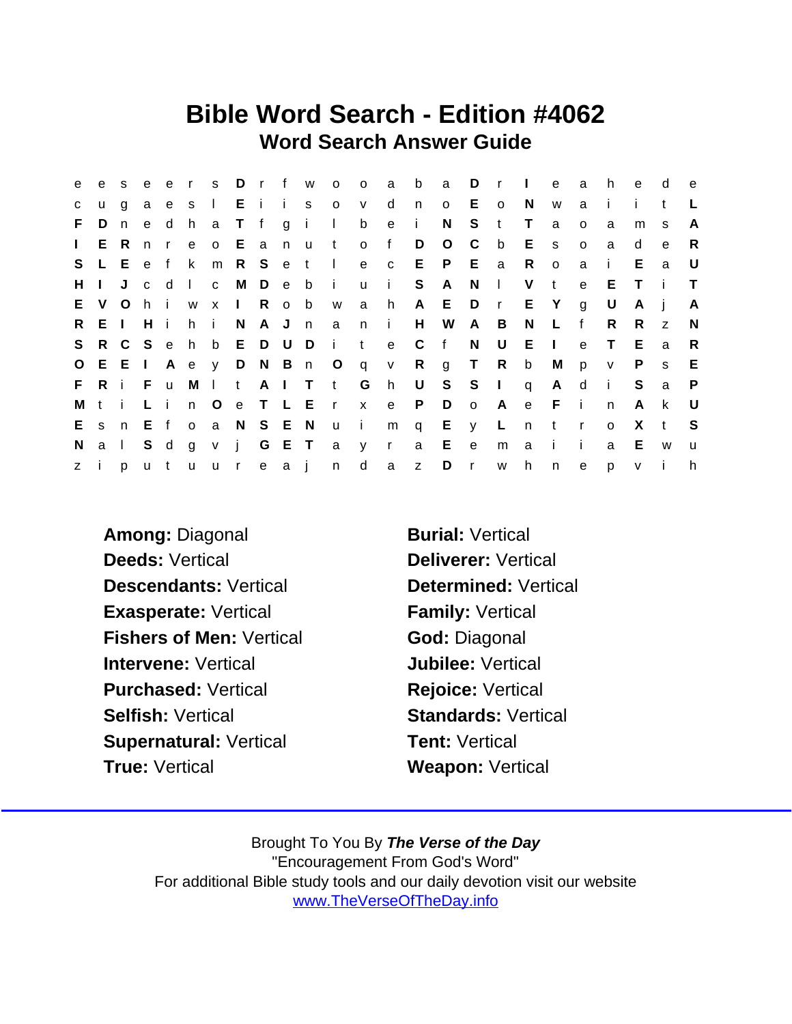## Bible Word Search - Edition #4062 Word Search Answer Guide

| e            | e            |              | s e |          | ers Drfw              |     |              |       |                     | $O$ 0                       |       | $\overline{a}$ | $\mathsf{b}$ | a           | D           | $\mathsf{r}$ | $\sim 1$ .   | e            | a            | h.             | e            | d              | $\mathbf{e}$ |
|--------------|--------------|--------------|-----|----------|-----------------------|-----|--------------|-------|---------------------|-----------------------------|-------|----------------|--------------|-------------|-------------|--------------|--------------|--------------|--------------|----------------|--------------|----------------|--------------|
| $\mathbf{C}$ | <b>u</b>     | $\mathsf{q}$ |     |          |                       |     |              |       |                     | a e s I E i i s o v         |       | $\mathsf{d}$   | n            | $\circ$     |             | E o          | N.           | W            | a            | $\blacksquare$ | Ť.           | $^{\dagger}$   |              |
| F.           | D            | n            | e   | d h      |                       |     |              |       | a Tfgil             |                             |       | b e            | $\sim 1$ .   | N           |             | $S$ t        | $\top$       | a            | $\Omega$     | a              | m            | <sub>S</sub>   | A            |
| $\mathbf{L}$ |              | E R n        |     |          | r e o E a n u         |     |              |       |                     | t of                        |       |                | D            | $\circ$     | $\mathbf C$ | b            | $E$ s        |              | $\circ$      | a              | d            | e              | R            |
| S.           |              | L E e f k    |     |          |                       |     |              |       | m R S e t I         |                             |       |                |              | e c E P E a |             |              | R            | $\circ$      | a            | $\mathbf{i}$   | E.           | a              | U            |
| H            | $\mathbf{L}$ |              |     |          |                       |     |              |       | J c d I c M D e b i |                             |       | u i            |              | S A         |             | $N \mid$     | V t          |              | $\mathbf{e}$ | E              | T            | $\mathbf{I}$   | $\top$       |
| E.           | V.           |              | Ohi |          |                       |     | w x I R o b  |       |                     | W                           | a h   |                |              | A E D r E Y |             |              |              |              | g            | U              | A            | - i            | A            |
| R.           |              | EIHI         |     |          | h i                   |     | N            | A J n |                     | $\overline{a}$              | $n$ i |                |              | H W A B     |             |              | N            | $\mathsf{L}$ | $-f$         | R.             | R.           | $\overline{z}$ | N            |
| S            |              | R C S e      |     |          | h b E D U D           |     |              |       |                     | $\mathbf{i}$                | $-t$  | e              | C            | $-f$        | N           | U            | E.           | $\sim 1$ .   | $\mathbf{e}$ | $\top$         | E            | a              | R            |
|              |              |              |     |          |                       |     |              |       |                     | O E E I A e y D N B n O q v |       |                |              | R g T R     |             |              | b            | M            | p            | V              | P            | <sub>S</sub>   | Е            |
|              |              | FRIF         |     | <b>u</b> |                       |     |              |       |                     | M I t A I T t G             |       | h              | U            | $S$ $S$ $I$ |             |              | $\mathsf{q}$ | A d          |              | $\mathbf{I}$   | S            | a              | P            |
| M            | ti           |              | Li  |          |                       | n O |              |       |                     | e T L E r x e               |       |                | P.           | D           |             | o A          |              | e F i        |              | $\mathsf{n}$   | A            | k              | - U          |
|              |              |              |     |          | E s n E f o a N S E N |     |              |       |                     | u i                         |       |                |              | m q E y L n |             |              |              | t            | $\mathbf{r}$ | $\circ$        | X            | $-t$           | -S           |
| N.           |              | $a \mid$     | S d |          | $g \vee$              |     | $\mathbf{j}$ |       |                     | G E T a y r                 |       |                | a            | E           | e           | m            | $\mathbf{a}$ | - i -        | j.           | a              | E            | W              | $\mathbf u$  |
| z i          |              |              |     |          |                       |     |              |       |                     | putuureajn d                |       | $\mathsf{a}$   |              | z D r w     |             |              | h            | n            | e            | p.             | $\mathsf{v}$ | Ť.             | h            |

Among: Diagonal Burial: Vertical Deeds: Vertical **Deliverer: Vertical** Descendants: Vertical Determined: Vertical Exasperate: Vertical Family: Vertical Fishers of Men: Vertical God: Diagonal Intervene: Vertical **Intervene:** Vertical Purchased: Vertical Rejoice: Vertical Selfish: Vertical Selfish: Vertical Standards: Vertical Supernatural: Vertical Tent: Vertical True: Vertical **Weapon: Vertical**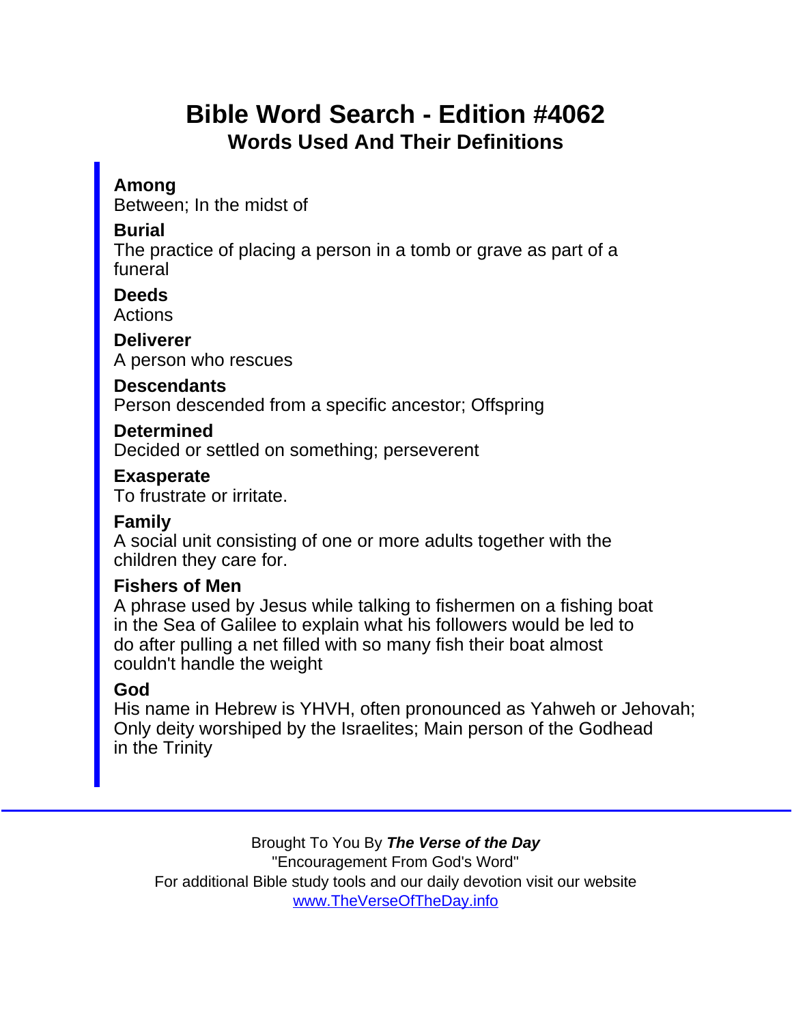# Bible Word Search - Edition #4062 Words Used And Their Definitions

Among

Between; In the midst of

**Burial** 

The practice of placing a person in a tomb or grave as part of a funeral

**Deeds** Actions

**Deliverer** 

A person who rescues

**Descendants** 

Person descended from a specific ancestor; Offspring

Determined Decided or settled on something; perseverent

Exasperate

To frustrate or irritate.

Family

A social unit consisting of one or more adults together with the children they care for.

Fishers of Men

A phrase used by Jesus while talking to fishermen on a fishing boat in the Sea of Galilee to explain what his followers would be led to do after pulling a net filled with so many fish their boat almost couldn't handle the weight

### God

His name in Hebrew is YHVH, often pronounced as Yahweh or Jehovah; Only deity worshiped by the Israelites; Main person of the Godhead in the Trinity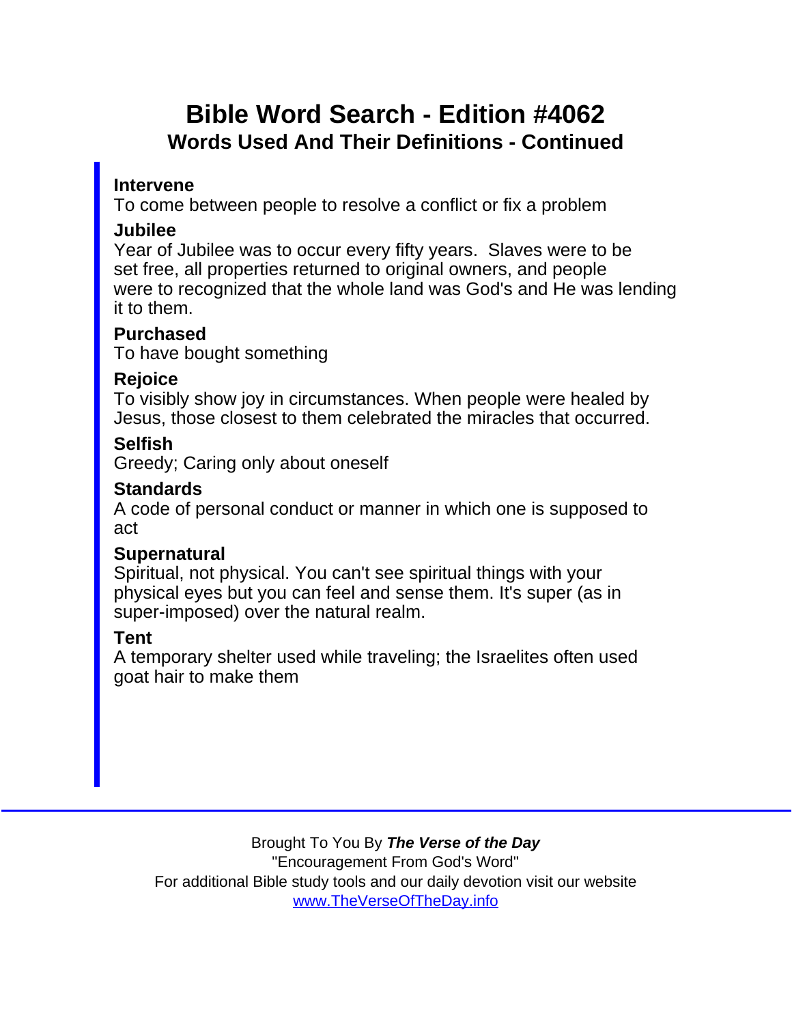# Bible Word Search - Edition #4062 Words Used And Their Definitions - Continued

### Intervene

To come between people to resolve a conflict or fix a problem

### Jubilee

Year of Jubilee was to occur every fifty years. Slaves were to be set free, all properties returned to original owners, and people were to recognized that the whole land was God's and He was lending it to them.

### Purchased

To have bought something

### Rejoice

To visibly show joy in circumstances. When people were healed by Jesus, those closest to them celebrated the miracles that occurred.

## **Selfish**

Greedy; Caring only about oneself

#### **Standards**

A code of personal conduct or manner in which one is supposed to act

### **Supernatural**

Spiritual, not physical. You can't see spiritual things with your physical eyes but you can feel and sense them. It's super (as in super-imposed) over the natural realm.

## Tent

A temporary shelter used while traveling; the Israelites often used goat hair to make them